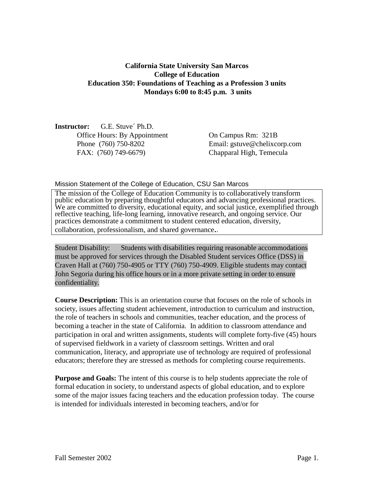## **California State University San Marcos College of Education Education 350: Foundations of Teaching as a Profession 3 units Mondays 6:00 to 8:45 p.m. 3 units**

**Instructor:** G.E. Stuve´ Ph.D. Office Hours: By Appointment On Campus Rm: 321B FAX: (760) 749-6679) Chapparal High, Temecula

Phone (760) 750-8202 Email: gstuve@chelixcorp.com

#### Mission Statement of the College of Education, CSU San Marcos

The mission of the College of Education Community is to collaboratively transform public education by preparing thoughtful educators and advancing professional practices. We are committed to diversity, educational equity, and social justice, exemplified through reflective teaching, life-long learning, innovative research, and ongoing service. Our practices demonstrate a commitment to student centered education, diversity, collaboration, professionalism, and shared governance..

Student Disability: Students with disabilities requiring reasonable accommodations must be approved for services through the Disabled Student services Office (DSS) in Craven Hall at (760) 750-4905 or TTY (760) 750-4909. Eligible students may contact John Segoria during his office hours or in a more private setting in order to ensure confidentiality.

**Course Description:** This is an orientation course that focuses on the role of schools in society, issues affecting student achievement, introduction to curriculum and instruction, the role of teachers in schools and communities, teacher education, and the process of becoming a teacher in the state of California. In addition to classroom attendance and participation in oral and written assignments, students will complete forty-five (45) hours of supervised fieldwork in a variety of classroom settings. Written and oral communication, literacy, and appropriate use of technology are required of professional educators; therefore they are stressed as methods for completing course requirements.

**Purpose and Goals:** The intent of this course is to help students appreciate the role of formal education in society, to understand aspects of global education, and to explore some of the major issues facing teachers and the education profession today. The course is intended for individuals interested in becoming teachers, and/or for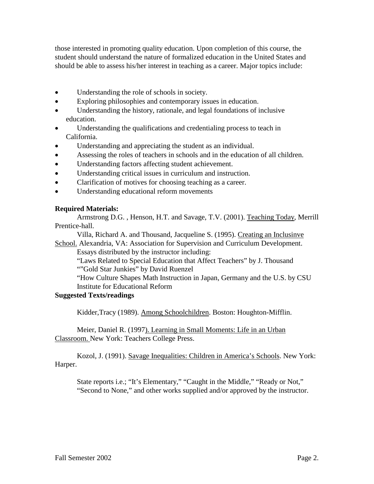those interested in promoting quality education. Upon completion of this course, the student should understand the nature of formalized education in the United States and should be able to assess his/her interest in teaching as a career. Major topics include:

- Understanding the role of schools in society.
- Exploring philosophies and contemporary issues in education.
- Understanding the history, rationale, and legal foundations of inclusive education.
- Understanding the qualifications and credentialing process to teach in California.
- Understanding and appreciating the student as an individual.
- Assessing the roles of teachers in schools and in the education of all children.
- Understanding factors affecting student achievement.
- Understanding critical issues in curriculum and instruction.
- Clarification of motives for choosing teaching as a career.
- Understanding educational reform movements

#### **Required Materials:**

Armstrong D.G. , Henson, H.T. and Savage, T.V. (2001). Teaching Today, Merrill Prentice-hall.

Villa, Richard A. and Thousand, Jacqueline S. (1995). Creating an Inclusinve School. Alexandria, VA: Association for Supervision and Curriculum Development.

Essays distributed by the instructor including:

"Laws Related to Special Education that Affect Teachers" by J. Thousand ""Gold Star Junkies" by David Ruenzel

"How Culture Shapes Math Instruction in Japan, Germany and the U.S. by CSU Institute for Educational Reform

#### **Suggested Texts/readings**

Kidder,Tracy (1989). Among Schoolchildren. Boston: Houghton-Mifflin.

Meier, Daniel R. (1997). Learning in Small Moments: Life in an Urban Classroom. New York: Teachers College Press.

Kozol, J. (1991). Savage Inequalities: Children in America's Schools. New York: Harper.

State reports i.e.; "It's Elementary," "Caught in the Middle," "Ready or Not," "Second to None," and other works supplied and/or approved by the instructor.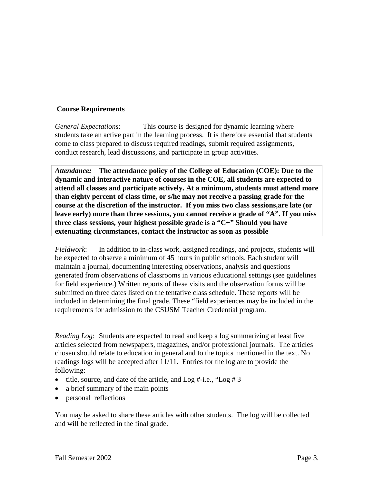## **Course Requirements**

*General Expectations*: This course is designed for dynamic learning where students take an active part in the learning process. It is therefore essential that students come to class prepared to discuss required readings, submit required assignments, conduct research, lead discussions, and participate in group activities.

*Attendance:* **The attendance policy of the College of Education (COE): Due to the dynamic and interactive nature of courses in the COE, all students are expected to attend all classes and participate actively. At a minimum, students must attend more than eighty percent of class time, or s/he may not receive a passing grade for the course at the discretion of the instructor. If you miss two class sessions,are late (or leave early) more than three sessions, you cannot receive a grade of "A". If you miss three class sessions, your highest possible grade is a "C+" Should you have extenuating circumstances, contact the instructor as soon as possible**

*Fieldwork*: In addition to in-class work, assigned readings, and projects, students will be expected to observe a minimum of 45 hours in public schools. Each student will maintain a journal, documenting interesting observations, analysis and questions generated from observations of classrooms in various educational settings (see guidelines for field experience.) Written reports of these visits and the observation forms will be submitted on three dates listed on the tentative class schedule. These reports will be included in determining the final grade. These "field experiences may be included in the requirements for admission to the CSUSM Teacher Credential program.

*Reading Log*: Students are expected to read and keep a log summarizing at least five articles selected from newspapers, magazines, and/or professional journals. The articles chosen should relate to education in general and to the topics mentioned in the text. No readings logs will be accepted after 11/11. Entries for the log are to provide the following:

- title, source, and date of the article, and  $Log #-i.e., "Log # 3$
- a brief summary of the main points
- personal reflections

You may be asked to share these articles with other students. The log will be collected and will be reflected in the final grade.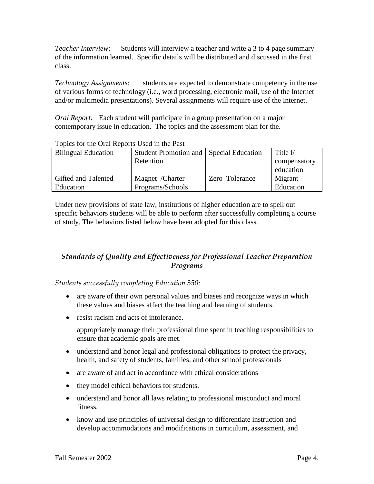*Teacher Interview*: Students will interview a teacher and write a 3 to 4 page summary of the information learned. Specific details will be distributed and discussed in the first class.

*Technology Assignments*: students are expected to demonstrate competency in the use of various forms of technology (i.e., word processing, electronic mail, use of the Internet and/or multimedia presentations). Several assignments will require use of the Internet.

*Oral Report:* Each student will participate in a group presentation on a major contemporary issue in education. The topics and the assessment plan for the.

| <b>Bilingual Education</b> | Student Promotion and   Special Education |                | Title $V$    |
|----------------------------|-------------------------------------------|----------------|--------------|
|                            | Retention                                 |                | compensatory |
|                            |                                           |                | education    |
| Gifted and Talented        | Magnet /Charter                           | Zero Tolerance | Migrant      |
| Education                  | Programs/Schools                          |                | Education    |

### Topics for the Oral Reports Used in the Past

Under new provisions of state law, institutions of higher education are to spell out specific behaviors students will be able to perform after successfully completing a course of study. The behaviors listed below have been adopted for this class.

## *Standards of Quality and Effectiveness for Professional Teacher Preparation Programs*

*Students successfully completing Education 350:*

- are aware of their own personal values and biases and recognize ways in which these values and biases affect the teaching and learning of students.
- resist racism and acts of intolerance.

appropriately manage their professional time spent in teaching responsibilities to ensure that academic goals are met.

- understand and honor legal and professional obligations to protect the privacy, health, and safety of students, families, and other school professionals
- are aware of and act in accordance with ethical considerations
- they model ethical behaviors for students.
- understand and honor all laws relating to professional misconduct and moral fitness.
- know and use principles of universal design to differentiate instruction and develop accommodations and modifications in curriculum, assessment, and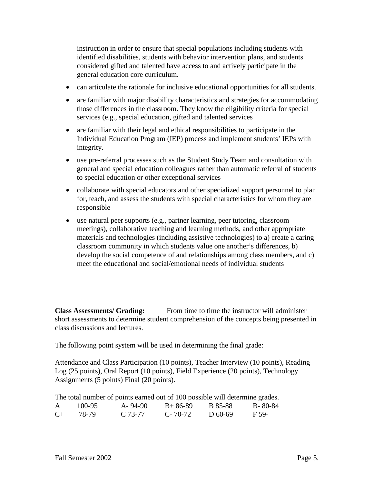instruction in order to ensure that special populations including students with identified disabilities, students with behavior intervention plans, and students considered gifted and talented have access to and actively participate in the general education core curriculum.

- can articulate the rationale for inclusive educational opportunities for all students.
- are familiar with major disability characteristics and strategies for accommodating those differences in the classroom. They know the eligibility criteria for special services (e.g., special education, gifted and talented services
- are familiar with their legal and ethical responsibilities to participate in the Individual Education Program (IEP) process and implement students' IEPs with integrity.
- use pre-referral processes such as the Student Study Team and consultation with general and special education colleagues rather than automatic referral of students to special education or other exceptional services
- collaborate with special educators and other specialized support personnel to plan for, teach, and assess the students with special characteristics for whom they are responsible
- use natural peer supports (e.g., partner learning, peer tutoring, classroom meetings), collaborative teaching and learning methods, and other appropriate materials and technologies (including assistive technologies) to a) create a caring classroom community in which students value one another's differences, b) develop the social competence of and relationships among class members, and c) meet the educational and social/emotional needs of individual students

**Class Assessments/ Grading:** From time to time the instructor will administer short assessments to determine student comprehension of the concepts being presented in class discussions and lectures.

The following point system will be used in determining the final grade:

Attendance and Class Participation (10 points), Teacher Interview (10 points), Reading Log (25 points), Oral Report (10 points), Field Experience (20 points), Technology Assignments (5 points) Final (20 points).

The total number of points earned out of 100 possible will determine grades.

| A       | 100-95 | $A - 94 - 90$ | $B+86-89$     | B 85-88   | $B - 80 - 84$ |
|---------|--------|---------------|---------------|-----------|---------------|
| $C_{+}$ | 78-79  | $C.73-77$     | $C - 70 - 72$ | $D$ 60-69 | F 59-         |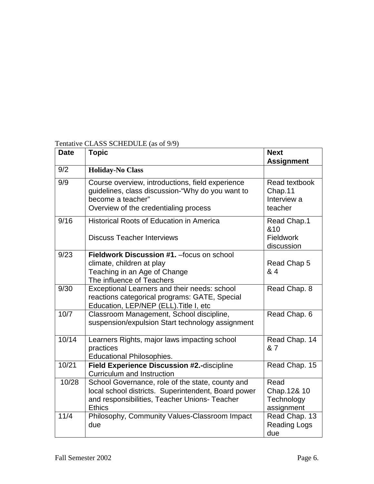| Date  | Topic                                                                                                                                                                     | <b>Next</b><br><b>Assignment</b>                   |
|-------|---------------------------------------------------------------------------------------------------------------------------------------------------------------------------|----------------------------------------------------|
| 9/2   | <b>Holiday-No Class</b>                                                                                                                                                   |                                                    |
| 9/9   | Course overview, introductions, field experience<br>guidelines, class discussion-"Why do you want to<br>become a teacher"<br>Overview of the credentialing process        | Read textbook<br>Chap.11<br>Interview a<br>teacher |
| 9/16  | <b>Historical Roots of Education in America</b><br><b>Discuss Teacher Interviews</b>                                                                                      | Read Chap.1<br>&10<br>Fieldwork<br>discussion      |
| 9/23  | Fieldwork Discussion #1. - focus on school<br>climate, children at play<br>Teaching in an Age of Change<br>The influence of Teachers                                      | Read Chap 5<br>& 4                                 |
| 9/30  | Exceptional Learners and their needs: school<br>reactions categorical programs: GATE, Special<br>Education, LEP/NEP (ELL). Title I, etc                                   | Read Chap. 8                                       |
| 10/7  | Classroom Management, School discipline,<br>suspension/expulsion Start technology assignment                                                                              | Read Chap. 6                                       |
| 10/14 | Learners Rights, major laws impacting school<br>practices<br><b>Educational Philosophies.</b>                                                                             | Read Chap. 14<br>& 7                               |
| 10/21 | Field Experience Discussion #2.-discipline<br><b>Curriculum and Instruction</b>                                                                                           | Read Chap. 15                                      |
| 10/28 | School Governance, role of the state, county and<br>local school districts. Superintendent, Board power<br>and responsibilities, Teacher Unions- Teacher<br><b>Ethics</b> | Read<br>Chap.12& 10<br>Technology<br>assignment    |
| 11/4  | Philosophy, Community Values-Classroom Impact<br>due                                                                                                                      | Read Chap. 13<br><b>Reading Logs</b><br>due        |

# Tentative CLASS SCHEDULE (as of 9/9)